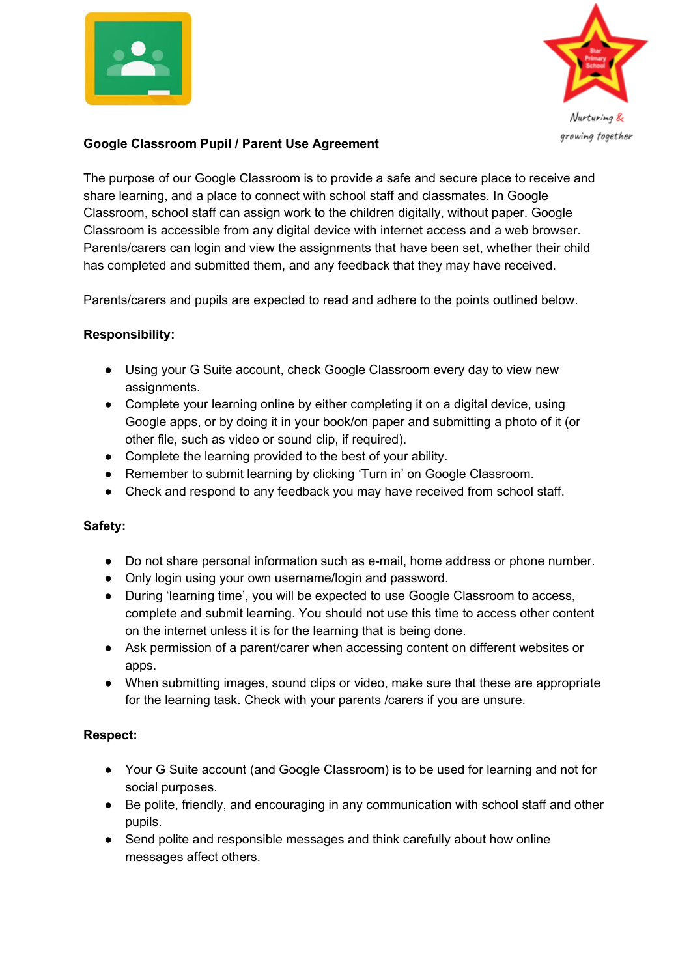



# **Google Classroom Pupil / Parent Use Agreement**

The purpose of our Google Classroom is to provide a safe and secure place to receive and share learning, and a place to connect with school staff and classmates. In Google Classroom, school staff can assign work to the children digitally, without paper. Google Classroom is accessible from any digital device with internet access and a web browser. Parents/carers can login and view the assignments that have been set, whether their child has completed and submitted them, and any feedback that they may have received.

Parents/carers and pupils are expected to read and adhere to the points outlined below.

## **Responsibility:**

- Using your G Suite account, check Google Classroom every day to view new assignments.
- Complete your learning online by either completing it on a digital device, using Google apps, or by doing it in your book/on paper and submitting a photo of it (or other file, such as video or sound clip, if required).
- Complete the learning provided to the best of your ability.
- Remember to submit learning by clicking 'Turn in' on Google Classroom.
- Check and respond to any feedback you may have received from school staff.

### **Safety:**

- Do not share personal information such as e-mail, home address or phone number.
- Only login using your own username/login and password.
- During 'learning time', you will be expected to use Google Classroom to access, complete and submit learning. You should not use this time to access other content on the internet unless it is for the learning that is being done.
- Ask permission of a parent/carer when accessing content on different websites or apps.
- When submitting images, sound clips or video, make sure that these are appropriate for the learning task. Check with your parents /carers if you are unsure.

### **Respect:**

- Your G Suite account (and Google Classroom) is to be used for learning and not for social purposes.
- Be polite, friendly, and encouraging in any communication with school staff and other pupils.
- Send polite and responsible messages and think carefully about how online messages affect others.